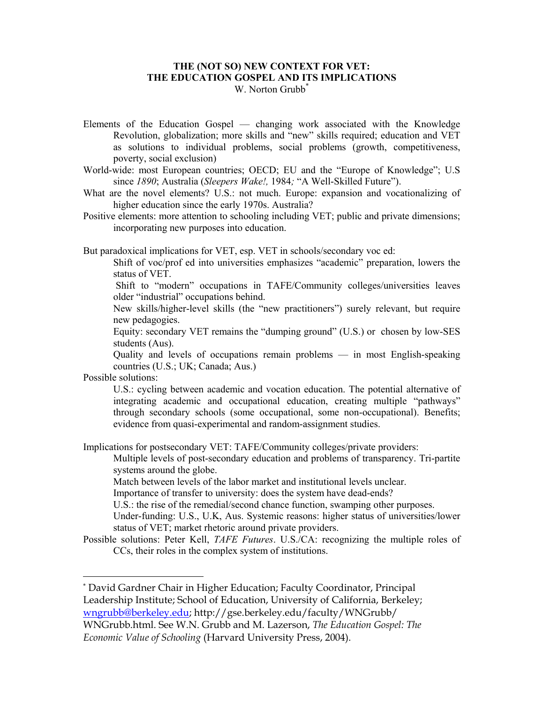## **THE (NOT SO) NEW CONTEXT FOR VET: THE EDUCATION GOSPEL AND ITS IMPLICATIONS**  W. Norton Grubb<sup>\*</sup>

- Elements of the Education Gospel changing work associated with the Knowledge Revolution, globalization; more skills and "new" skills required; education and VET as solutions to individual problems, social problems (growth, competitiveness, poverty, social exclusion)
- World-wide: most European countries; OECD; EU and the "Europe of Knowledge"; U.S since *1890*; Australia (*Sleepers Wake!,* 1984*;* "A Well-Skilled Future").
- What are the novel elements? U.S.: not much. Europe: expansion and vocationalizing of higher education since the early 1970s. Australia?
- Positive elements: more attention to schooling including VET; public and private dimensions; incorporating new purposes into education.

But paradoxical implications for VET, esp. VET in schools/secondary voc ed:

 Shift of voc/prof ed into universities emphasizes "academic" preparation, lowers the status of VET.

 Shift to "modern" occupations in TAFE/Community colleges/universities leaves older "industrial" occupations behind.

 New skills/higher-level skills (the "new practitioners") surely relevant, but require new pedagogies.

 Equity: secondary VET remains the "dumping ground" (U.S.) or chosen by low-SES students (Aus).

 Quality and levels of occupations remain problems — in most English-speaking countries (U.S.; UK; Canada; Aus.)

Possible solutions:

 $\overline{a}$ 

 U.S.: cycling between academic and vocation education. The potential alternative of integrating academic and occupational education, creating multiple "pathways" through secondary schools (some occupational, some non-occupational). Benefits; evidence from quasi-experimental and random-assignment studies.

Implications for postsecondary VET: TAFE/Community colleges/private providers:

 Multiple levels of post-secondary education and problems of transparency. Tri-partite systems around the globe.

Match between levels of the labor market and institutional levels unclear.

Importance of transfer to university: does the system have dead-ends?

U.S.: the rise of the remedial/second chance function, swamping other purposes.

 Under-funding: U.S., U.K, Aus. Systemic reasons: higher status of universities/lower status of VET; market rhetoric around private providers.

Possible solutions: Peter Kell, *TAFE Futures*. U.S./CA: recognizing the multiple roles of CCs, their roles in the complex system of institutions.

<sup>\*</sup> David Gardner Chair in Higher Education; Faculty Coordinator, Principal Leadership Institute; School of Education, University of California, Berkeley; wngrubb@berkeley.edu; http://gse.berkeley.edu/faculty/WNGrubb/

WNGrubb.html. See W.N. Grubb and M. Lazerson, *The Education Gospel: The Economic Value of Schooling* (Harvard University Press, 2004).